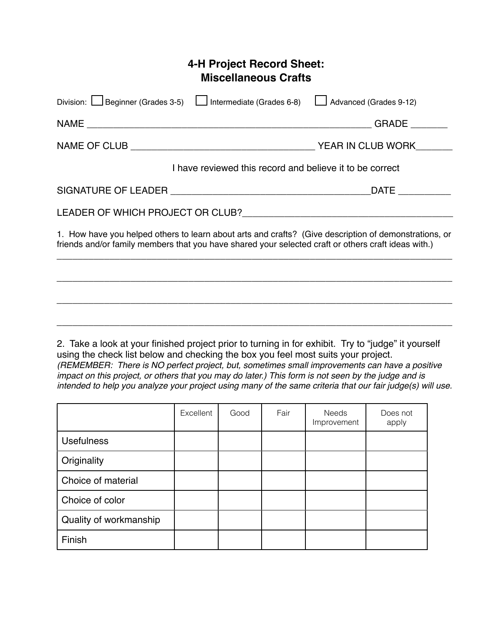## **4-H Project Record Sheet: Miscellaneous Crafts**

| Division: Beginner (Grades 3-5)<br>Intermediate (Grades 6-8)                                                                                                                                                 | Advanced (Grades 9-12) |
|--------------------------------------------------------------------------------------------------------------------------------------------------------------------------------------------------------------|------------------------|
|                                                                                                                                                                                                              | GRADE                  |
|                                                                                                                                                                                                              | YEAR IN CLUB WORK      |
| I have reviewed this record and believe it to be correct                                                                                                                                                     |                        |
|                                                                                                                                                                                                              | <b>DATE</b>            |
|                                                                                                                                                                                                              |                        |
| 1. How have you helped others to learn about arts and crafts? (Give description of demonstrations, or<br>friends and/or family members that you have shared your selected craft or others craft ideas with.) |                        |
|                                                                                                                                                                                                              |                        |

2. Take a look at your finished project prior to turning in for exhibit. Try to "judge" it yourself using the check list below and checking the box you feel most suits your project. *(REMEMBER: There is NO perfect project, but, sometimes small improvements can have a positive impact on this project, or others that you may do later.) This form is not seen by the judge and is intended to help you analyze your project using many of the same criteria that our fair judge(s) will use.*

*\_\_\_\_\_\_\_\_\_\_\_\_\_\_\_\_\_\_\_\_\_\_\_\_\_\_\_\_\_\_\_\_\_\_\_\_\_\_\_\_\_\_\_\_\_\_\_\_\_\_\_\_\_\_\_\_\_\_\_\_\_\_\_\_\_\_\_\_\_\_\_\_\_\_\_*

*\_\_\_\_\_\_\_\_\_\_\_\_\_\_\_\_\_\_\_\_\_\_\_\_\_\_\_\_\_\_\_\_\_\_\_\_\_\_\_\_\_\_\_\_\_\_\_\_\_\_\_\_\_\_\_\_\_\_\_\_\_\_\_\_\_\_\_\_\_\_\_\_\_\_\_*

|                        | Excellent | Good | Fair | Needs<br>Improvement | Does not<br>apply |
|------------------------|-----------|------|------|----------------------|-------------------|
| <b>Usefulness</b>      |           |      |      |                      |                   |
| Originality            |           |      |      |                      |                   |
| Choice of material     |           |      |      |                      |                   |
| Choice of color        |           |      |      |                      |                   |
| Quality of workmanship |           |      |      |                      |                   |
| Finish                 |           |      |      |                      |                   |